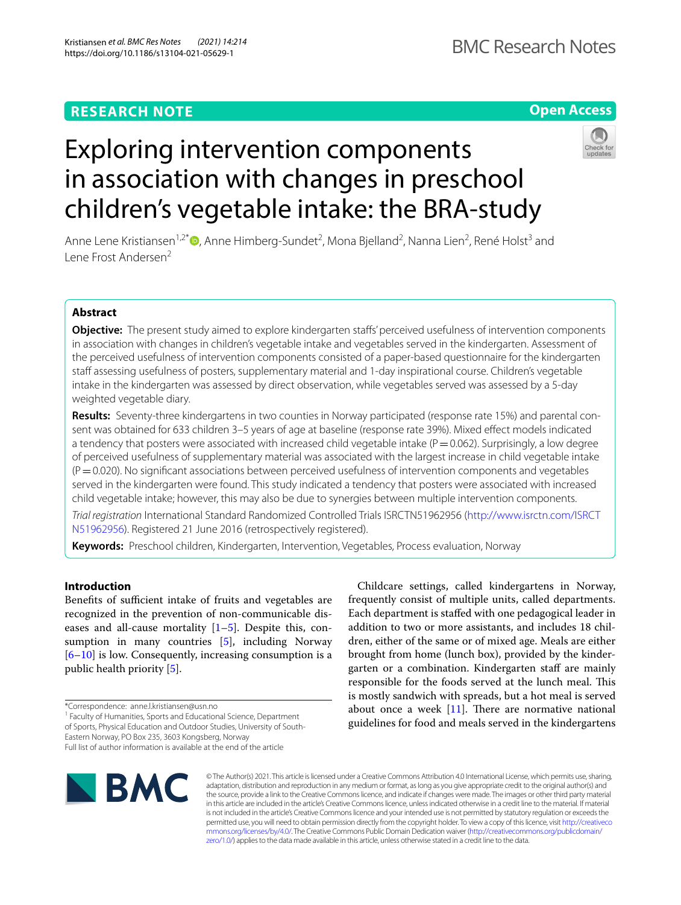# **RESEARCH NOTE**

# **Open Access**



# Exploring intervention components in association with changes in preschool children's vegetable intake: the BRA-study

Anne Lene Kristiansen<sup>1[,](http://orcid.org/0000-0002-7175-135X)2\*</sup> (D, Anne Himberg-Sundet<sup>2</sup>, Mona Bjelland<sup>2</sup>, Nanna Lien<sup>2</sup>, René Holst<sup>3</sup> and Lene Frost Andersen<sup>2</sup>

# **Abstract**

**Objective:** The present study aimed to explore kindergarten stafs' perceived usefulness of intervention components in association with changes in children's vegetable intake and vegetables served in the kindergarten. Assessment of the perceived usefulness of intervention components consisted of a paper-based questionnaire for the kindergarten staff assessing usefulness of posters, supplementary material and 1-day inspirational course. Children's vegetable intake in the kindergarten was assessed by direct observation, while vegetables served was assessed by a 5-day weighted vegetable diary.

**Results:** Seventy-three kindergartens in two counties in Norway participated (response rate 15%) and parental con‑ sent was obtained for 633 children 3–5 years of age at baseline (response rate 39%). Mixed efect models indicated a tendency that posters were associated with increased child vegetable intake ( $P=0.062$ ). Surprisingly, a low degree of perceived usefulness of supplementary material was associated with the largest increase in child vegetable intake  $(P=0.020)$ . No significant associations between perceived usefulness of intervention components and vegetables served in the kindergarten were found. This study indicated a tendency that posters were associated with increased child vegetable intake; however, this may also be due to synergies between multiple intervention components.

*Trial registration* International Standard Randomized Controlled Trials ISRCTN51962956 ([http://www.isrctn.com/ISRCT](http://www.isrctn.com/ISRCTN51962956) [N51962956\)](http://www.isrctn.com/ISRCTN51962956). Registered 21 June 2016 (retrospectively registered).

**Keywords:** Preschool children, Kindergarten, Intervention, Vegetables, Process evaluation, Norway

# **Introduction**

Benefits of sufficient intake of fruits and vegetables are recognized in the prevention of non-communicable diseases and all-cause mortality  $[1-5]$  $[1-5]$ . Despite this, consumption in many countries [\[5](#page-5-1)], including Norway [[6–](#page-5-2)[10\]](#page-5-3) is low. Consequently, increasing consumption is a public health priority [[5\]](#page-5-1).

<sup>1</sup> Faculty of Humanities, Sports and Educational Science, Department

of Sports, Physical Education and Outdoor Studies, University of South-Eastern Norway, PO Box 235, 3603 Kongsberg, Norway

Childcare settings, called kindergartens in Norway, frequently consist of multiple units, called departments. Each department is stafed with one pedagogical leader in addition to two or more assistants, and includes 18 children, either of the same or of mixed age. Meals are either brought from home (lunch box), provided by the kindergarten or a combination. Kindergarten staf are mainly responsible for the foods served at the lunch meal. This is mostly sandwich with spreads, but a hot meal is served about once a week  $[11]$  $[11]$ . There are normative national guidelines for food and meals served in the kindergartens



© The Author(s) 2021. This article is licensed under a Creative Commons Attribution 4.0 International License, which permits use, sharing, adaptation, distribution and reproduction in any medium or format, as long as you give appropriate credit to the original author(s) and the source, provide a link to the Creative Commons licence, and indicate if changes were made. The images or other third party material in this article are included in the article's Creative Commons licence, unless indicated otherwise in a credit line to the material. If material is not included in the article's Creative Commons licence and your intended use is not permitted by statutory regulation or exceeds the permitted use, you will need to obtain permission directly from the copyright holder. To view a copy of this licence, visit [http://creativeco](http://creativecommons.org/licenses/by/4.0/) [mmons.org/licenses/by/4.0/.](http://creativecommons.org/licenses/by/4.0/) The Creative Commons Public Domain Dedication waiver ([http://creativecommons.org/publicdomain/](http://creativecommons.org/publicdomain/zero/1.0/) [zero/1.0/\)](http://creativecommons.org/publicdomain/zero/1.0/) applies to the data made available in this article, unless otherwise stated in a credit line to the data.

<sup>\*</sup>Correspondence: anne.l.kristiansen@usn.no

Full list of author information is available at the end of the article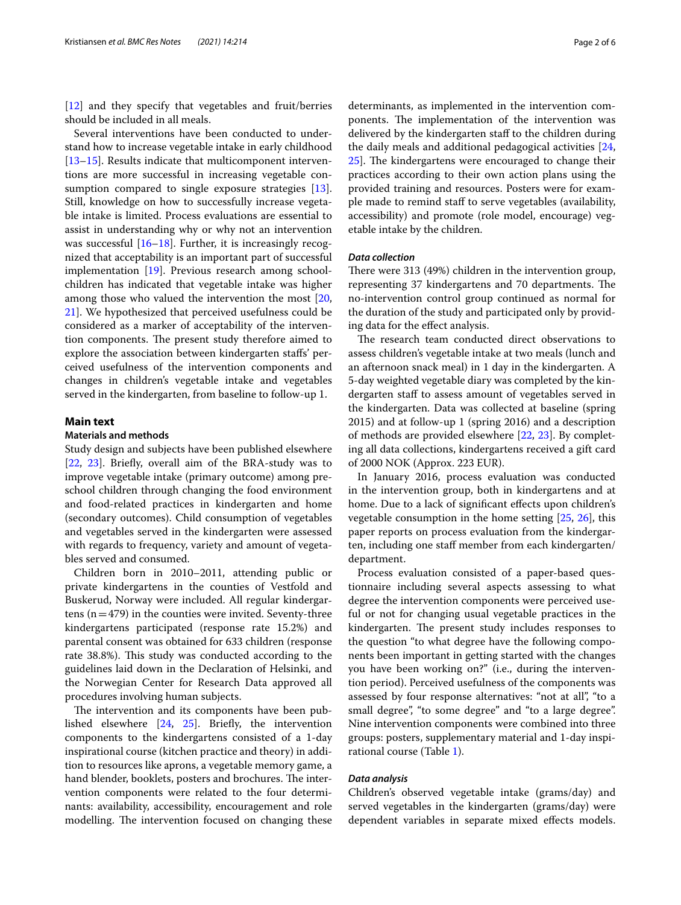[[12\]](#page-5-5) and they specify that vegetables and fruit/berries should be included in all meals.

Several interventions have been conducted to understand how to increase vegetable intake in early childhood [[13–](#page-5-6)[15](#page-5-7)]. Results indicate that multicomponent interventions are more successful in increasing vegetable con-sumption compared to single exposure strategies [\[13](#page-5-6)]. Still, knowledge on how to successfully increase vegetable intake is limited. Process evaluations are essential to assist in understanding why or why not an intervention was successful [[16–](#page-5-8)[18](#page-5-9)]. Further, it is increasingly recognized that acceptability is an important part of successful implementation [[19](#page-5-10)]. Previous research among schoolchildren has indicated that vegetable intake was higher among those who valued the intervention the most [\[20](#page-5-11), [21\]](#page-5-12). We hypothesized that perceived usefulness could be considered as a marker of acceptability of the intervention components. The present study therefore aimed to explore the association between kindergarten stafs' perceived usefulness of the intervention components and changes in children's vegetable intake and vegetables served in the kindergarten, from baseline to follow-up 1.

#### **Main text**

# **Materials and methods**

Study design and subjects have been published elsewhere [[22,](#page-5-13) [23](#page-5-14)]. Briefy, overall aim of the BRA-study was to improve vegetable intake (primary outcome) among preschool children through changing the food environment and food-related practices in kindergarten and home (secondary outcomes). Child consumption of vegetables and vegetables served in the kindergarten were assessed with regards to frequency, variety and amount of vegetables served and consumed.

Children born in 2010–2011, attending public or private kindergartens in the counties of Vestfold and Buskerud, Norway were included. All regular kindergartens  $(n=479)$  in the counties were invited. Seventy-three kindergartens participated (response rate 15.2%) and parental consent was obtained for 633 children (response rate 38.8%). This study was conducted according to the guidelines laid down in the Declaration of Helsinki, and the Norwegian Center for Research Data approved all procedures involving human subjects.

The intervention and its components have been published elsewhere [\[24,](#page-5-15) [25\]](#page-5-16). Briefy, the intervention components to the kindergartens consisted of a 1-day inspirational course (kitchen practice and theory) in addition to resources like aprons, a vegetable memory game, a hand blender, booklets, posters and brochures. The intervention components were related to the four determinants: availability, accessibility, encouragement and role modelling. The intervention focused on changing these determinants, as implemented in the intervention components. The implementation of the intervention was delivered by the kindergarten staff to the children during the daily meals and additional pedagogical activities [[24](#page-5-15), [25\]](#page-5-16). The kindergartens were encouraged to change their practices according to their own action plans using the provided training and resources. Posters were for example made to remind staf to serve vegetables (availability, accessibility) and promote (role model, encourage) vegetable intake by the children.

## *Data collection*

There were  $313$  (49%) children in the intervention group, representing 37 kindergartens and 70 departments. The no-intervention control group continued as normal for the duration of the study and participated only by providing data for the efect analysis.

The research team conducted direct observations to assess children's vegetable intake at two meals (lunch and an afternoon snack meal) in 1 day in the kindergarten. A 5-day weighted vegetable diary was completed by the kindergarten staff to assess amount of vegetables served in the kindergarten. Data was collected at baseline (spring 2015) and at follow-up 1 (spring 2016) and a description of methods are provided elsewhere [[22,](#page-5-13) [23](#page-5-14)]. By completing all data collections, kindergartens received a gift card of 2000 NOK (Approx. 223 EUR).

In January 2016, process evaluation was conducted in the intervention group, both in kindergartens and at home. Due to a lack of significant effects upon children's vegetable consumption in the home setting [\[25,](#page-5-16) [26](#page-5-17)], this paper reports on process evaluation from the kindergarten, including one staff member from each kindergarten/ department.

Process evaluation consisted of a paper-based questionnaire including several aspects assessing to what degree the intervention components were perceived useful or not for changing usual vegetable practices in the kindergarten. The present study includes responses to the question "to what degree have the following components been important in getting started with the changes you have been working on?" (i.e., during the intervention period). Perceived usefulness of the components was assessed by four response alternatives: "not at all", "to a small degree", "to some degree" and "to a large degree". Nine intervention components were combined into three groups: posters, supplementary material and 1-day inspirational course (Table [1\)](#page-2-0).

#### *Data analysis*

Children's observed vegetable intake (grams/day) and served vegetables in the kindergarten (grams/day) were dependent variables in separate mixed effects models.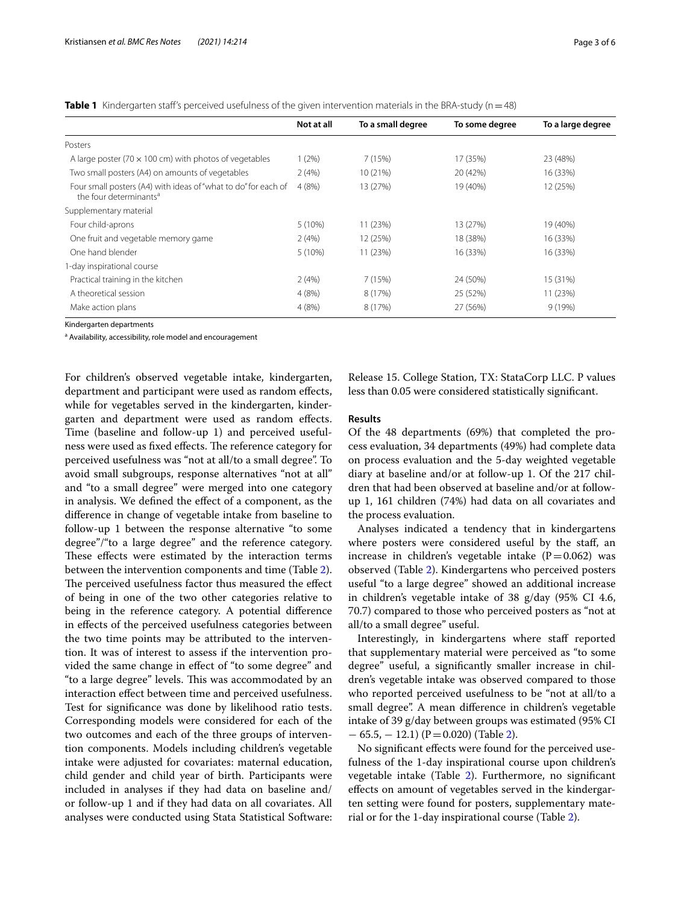<span id="page-2-0"></span>**Table 1** Kindergarten staff's perceived usefulness of the given intervention materials in the BRA-study (n=48)

|                                                                                                      | Not at all | To a small degree | To some degree | To a large degree |
|------------------------------------------------------------------------------------------------------|------------|-------------------|----------------|-------------------|
| Posters                                                                                              |            |                   |                |                   |
| A large poster (70 $\times$ 100 cm) with photos of vegetables                                        | 1(2%)      | 7 (15%)           | 17 (35%)       | 23 (48%)          |
| Two small posters (A4) on amounts of vegetables                                                      | 2(4%)      | 10 (21%)          | 20 (42%)       | 16 (33%)          |
| Four small posters (A4) with ideas of "what to do" for each of<br>the four determinants <sup>a</sup> | 4(8%)      | 13 (27%)          | 19 (40%)       | 12 (25%)          |
| Supplementary material                                                                               |            |                   |                |                   |
| Four child-aprons                                                                                    | 5(10%)     | 11 (23%)          | 13 (27%)       | 19 (40%)          |
| One fruit and vegetable memory game                                                                  | 2(4%)      | 12 (25%)          | 18 (38%)       | 16 (33%)          |
| One hand blender                                                                                     | $5(10\%)$  | 11 (23%)          | 16 (33%)       | 16 (33%)          |
| 1-day inspirational course                                                                           |            |                   |                |                   |
| Practical training in the kitchen                                                                    | 2(4%)      | 7(15%)            | 24 (50%)       | 15 (31%)          |
| A theoretical session                                                                                | 4(8%)      | 8 (17%)           | 25 (52%)       | 11 (23%)          |
| Make action plans                                                                                    | 4(8%)      | 8 (17%)           | 27 (56%)       | 9 (19%)           |

Kindergarten departments

<sup>a</sup> Availability, accessibility, role model and encouragement

For children's observed vegetable intake, kindergarten, department and participant were used as random efects, while for vegetables served in the kindergarten, kindergarten and department were used as random efects. Time (baseline and follow-up 1) and perceived usefulness were used as fixed effects. The reference category for perceived usefulness was "not at all/to a small degree". To avoid small subgroups, response alternatives "not at all" and "to a small degree" were merged into one category in analysis. We defned the efect of a component, as the diference in change of vegetable intake from baseline to follow-up 1 between the response alternative "to some degree"/"to a large degree" and the reference category. These effects were estimated by the interaction terms between the intervention components and time (Table [2](#page-3-0)). The perceived usefulness factor thus measured the effect of being in one of the two other categories relative to being in the reference category. A potential diference in efects of the perceived usefulness categories between the two time points may be attributed to the intervention. It was of interest to assess if the intervention provided the same change in efect of "to some degree" and "to a large degree" levels. This was accommodated by an interaction efect between time and perceived usefulness. Test for signifcance was done by likelihood ratio tests. Corresponding models were considered for each of the two outcomes and each of the three groups of intervention components. Models including children's vegetable intake were adjusted for covariates: maternal education, child gender and child year of birth. Participants were included in analyses if they had data on baseline and/ or follow-up 1 and if they had data on all covariates. All analyses were conducted using Stata Statistical Software:

Release 15. College Station, TX: StataCorp LLC. P values less than 0.05 were considered statistically signifcant.

# **Results**

Of the 48 departments (69%) that completed the process evaluation, 34 departments (49%) had complete data on process evaluation and the 5-day weighted vegetable diary at baseline and/or at follow-up 1. Of the 217 children that had been observed at baseline and/or at followup 1, 161 children (74%) had data on all covariates and the process evaluation.

Analyses indicated a tendency that in kindergartens where posters were considered useful by the staff, an increase in children's vegetable intake  $(P=0.062)$  was observed (Table [2\)](#page-3-0). Kindergartens who perceived posters useful "to a large degree" showed an additional increase in children's vegetable intake of 38 g/day (95% CI 4.6, 70.7) compared to those who perceived posters as "not at all/to a small degree" useful.

Interestingly, in kindergartens where staff reported that supplementary material were perceived as "to some degree" useful, a signifcantly smaller increase in children's vegetable intake was observed compared to those who reported perceived usefulness to be "not at all/to a small degree". A mean diference in children's vegetable intake of 39 g/day between groups was estimated (95% CI  $-65.5, -12.1$ ) (P=0.020) (Table [2\)](#page-3-0).

No signifcant efects were found for the perceived usefulness of the 1-day inspirational course upon children's vegetable intake (Table [2\)](#page-3-0). Furthermore, no signifcant efects on amount of vegetables served in the kindergarten setting were found for posters, supplementary material or for the 1-day inspirational course (Table [2\)](#page-3-0).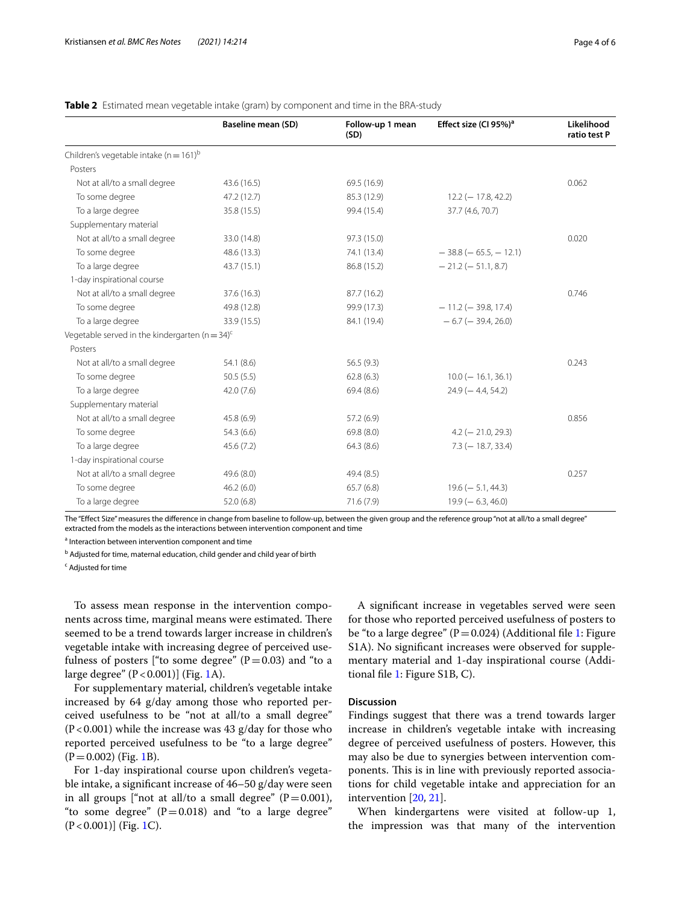| Page 4 of 6 |  |  |
|-------------|--|--|
|             |  |  |

|                                                                | <b>Baseline mean (SD)</b> | Follow-up 1 mean<br>(SD) | Effect size (CI 95%) <sup>a</sup> | Likelihood<br>ratio test P |
|----------------------------------------------------------------|---------------------------|--------------------------|-----------------------------------|----------------------------|
| Children's vegetable intake ( $n = 161$ ) <sup>b</sup>         |                           |                          |                                   |                            |
| Posters                                                        |                           |                          |                                   |                            |
| Not at all/to a small degree                                   | 43.6(16.5)                | 69.5 (16.9)              |                                   | 0.062                      |
| To some degree                                                 | 47.2(12.7)                | 85.3 (12.9)              | $12.2$ (-17.8, 42.2)              |                            |
| To a large degree                                              | 35.8 (15.5)               | 99.4 (15.4)              | 37.7 (4.6, 70.7)                  |                            |
| Supplementary material                                         |                           |                          |                                   |                            |
| Not at all/to a small degree                                   | 33.0 (14.8)               | 97.3 (15.0)              |                                   | 0.020                      |
| To some degree                                                 | 48.6 (13.3)               | 74.1 (13.4)              | $-38.8$ ( $-65.5$ , $-12.1$ )     |                            |
| To a large degree                                              | 43.7(15.1)                | 86.8 (15.2)              | $-21.2$ ( $-51.1, 8.7$ )          |                            |
| 1-day inspirational course                                     |                           |                          |                                   |                            |
| Not at all/to a small degree                                   | 37.6(16.3)                | 87.7 (16.2)              |                                   | 0.746                      |
| To some degree                                                 | 49.8 (12.8)               | 99.9 (17.3)              | $-11.2$ (-39.8, 17.4)             |                            |
| To a large degree                                              | 33.9 (15.5)               | 84.1 (19.4)              | $-6.7$ ( $-39.4$ , 26.0)          |                            |
| Vegetable served in the kindergarten ( $n = 34$ ) <sup>c</sup> |                           |                          |                                   |                            |
| Posters                                                        |                           |                          |                                   |                            |
| Not at all/to a small degree                                   | 54.1 (8.6)                | 56.5(9.3)                |                                   | 0.243                      |
| To some degree                                                 | 50.5(5.5)                 | 62.8(6.3)                | $10.0 (-16.1, 36.1)$              |                            |
| To a large degree                                              | 42.0(7.6)                 | 69.4(8.6)                | $24.9$ (-4.4, 54.2)               |                            |
| Supplementary material                                         |                           |                          |                                   |                            |
| Not at all/to a small degree                                   | 45.8(6.9)                 | 57.2 (6.9)               |                                   | 0.856                      |
| To some degree                                                 | 54.3(6.6)                 | 69.8 (8.0)               | $4.2$ (-21.0, 29.3)               |                            |
| To a large degree                                              | 45.6(7.2)                 | 64.3(8.6)                | $7.3 (-18.7, 33.4)$               |                            |
| 1-day inspirational course                                     |                           |                          |                                   |                            |
| Not at all/to a small degree                                   | 49.6 (8.0)                | 49.4 (8.5)               |                                   | 0.257                      |
| To some degree                                                 | 46.2(6.0)                 | 65.7(6.8)                | $19.6 (- 5.1, 44.3)$              |                            |
| To a large degree                                              | 52.0(6.8)                 | 71.6(7.9)                | $19.9 (-6.3, 46.0)$               |                            |

<span id="page-3-0"></span>**Table 2** Estimated mean vegetable intake (gram) by component and time in the BRA-study

The "Efect Size" measures the diference in change from baseline to follow-up, between the given group and the reference group "not at all/to a small degree" extracted from the models as the interactions between intervention component and time

<sup>a</sup> Interaction between intervention component and time

<sup>b</sup> Adjusted for time, maternal education, child gender and child year of birth

<sup>c</sup> Adjusted for time

To assess mean response in the intervention components across time, marginal means were estimated. There seemed to be a trend towards larger increase in children's vegetable intake with increasing degree of perceived usefulness of posters ["to some degree"  $(P=0.03)$  and "to a large degree"  $(P < 0.001)$ ] (Fig. [1A](#page-4-0)).

For supplementary material, children's vegetable intake increased by 64 g/day among those who reported perceived usefulness to be "not at all/to a small degree"  $(P<0.001)$  while the increase was 43 g/day for those who reported perceived usefulness to be "to a large degree"  $(P=0.002)$  (Fig. [1](#page-4-0)B).

For 1-day inspirational course upon children's vegetable intake, a signifcant increase of 46–50 g/day were seen in all groups ["not at all/to a small degree"  $(P=0.001)$ , "to some degree"  $(P=0.018)$  and "to a large degree" (P<0.001)] (Fig. [1](#page-4-0)C).

A signifcant increase in vegetables served were seen for those who reported perceived usefulness of posters to be "to a large degree" ( $P=0.024$ ) (Additional file [1](#page-4-1): Figure S1A). No signifcant increases were observed for supplementary material and 1-day inspirational course (Additional fle [1](#page-4-1): Figure S1B, C).

#### **Discussion**

Findings suggest that there was a trend towards larger increase in children's vegetable intake with increasing degree of perceived usefulness of posters. However, this may also be due to synergies between intervention components. This is in line with previously reported associations for child vegetable intake and appreciation for an intervention [[20,](#page-5-11) [21](#page-5-12)].

When kindergartens were visited at follow-up 1, the impression was that many of the intervention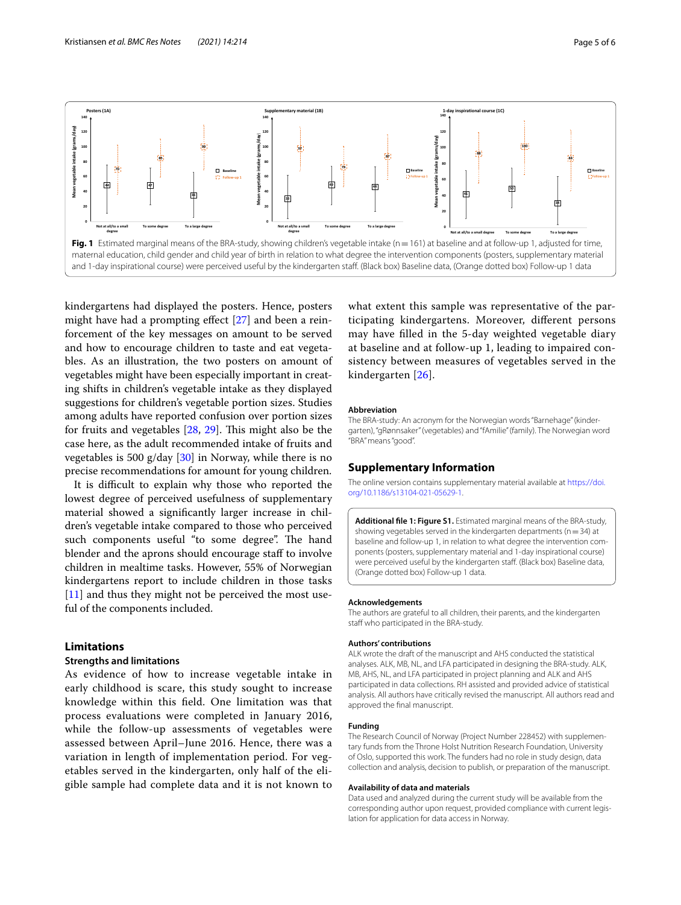

<span id="page-4-0"></span>kindergartens had displayed the posters. Hence, posters might have had a prompting efect [\[27](#page-5-18)] and been a reinforcement of the key messages on amount to be served and how to encourage children to taste and eat vegetables. As an illustration, the two posters on amount of vegetables might have been especially important in creating shifts in children's vegetable intake as they displayed suggestions for children's vegetable portion sizes. Studies among adults have reported confusion over portion sizes for fruits and vegetables  $[28, 29]$  $[28, 29]$  $[28, 29]$  $[28, 29]$ . This might also be the case here, as the adult recommended intake of fruits and vegetables is 500 g/day [\[30](#page-5-21)] in Norway, while there is no precise recommendations for amount for young children.

It is difficult to explain why those who reported the lowest degree of perceived usefulness of supplementary material showed a signifcantly larger increase in children's vegetable intake compared to those who perceived such components useful "to some degree". The hand blender and the aprons should encourage staf to involve children in mealtime tasks. However, 55% of Norwegian kindergartens report to include children in those tasks [[11\]](#page-5-4) and thus they might not be perceived the most useful of the components included.

## **Limitations**

## **Strengths and limitations**

As evidence of how to increase vegetable intake in early childhood is scare, this study sought to increase knowledge within this feld. One limitation was that process evaluations were completed in January 2016, while the follow-up assessments of vegetables were assessed between April–June 2016. Hence, there was a variation in length of implementation period. For vegetables served in the kindergarten, only half of the eligible sample had complete data and it is not known to

what extent this sample was representative of the participating kindergartens. Moreover, diferent persons may have flled in the 5-day weighted vegetable diary at baseline and at follow-up 1, leading to impaired consistency between measures of vegetables served in the kindergarten [[26\]](#page-5-17).

#### **Abbreviation**

The BRA-study: An acronym for the Norwegian words "Barnehage" (kinder‑ garten), "gRønnsaker" (vegetables) and "fAmilie" (family). The Norwegian word "BRA" means "good".

### **Supplementary Information**

The online version contains supplementary material available at [https://doi.](https://doi.org/10.1186/s13104-021-05629-1) [org/10.1186/s13104-021-05629-1](https://doi.org/10.1186/s13104-021-05629-1).

<span id="page-4-1"></span>**Additional fle 1: Figure S1.** Estimated marginal means of the BRA-study, showing vegetables served in the kindergarten departments ( $n=34$ ) at baseline and follow-up 1, in relation to what degree the intervention components (posters, supplementary material and 1-day inspirational course) were perceived useful by the kindergarten staff. (Black box) Baseline data, (Orange dotted box) Follow-up 1 data.

#### **Acknowledgements**

The authors are grateful to all children, their parents, and the kindergarten staff who participated in the BRA-study.

#### **Authors' contributions**

ALK wrote the draft of the manuscript and AHS conducted the statistical analyses. ALK, MB, NL, and LFA participated in designing the BRA-study. ALK, MB, AHS, NL, and LFA participated in project planning and ALK and AHS participated in data collections. RH assisted and provided advice of statistical analysis. All authors have critically revised the manuscript. All authors read and approved the fnal manuscript.

#### **Funding**

The Research Council of Norway (Project Number 228452) with supplementary funds from the Throne Holst Nutrition Research Foundation, University of Oslo, supported this work. The funders had no role in study design, data collection and analysis, decision to publish, or preparation of the manuscript.

#### **Availability of data and materials**

Data used and analyzed during the current study will be available from the corresponding author upon request, provided compliance with current legislation for application for data access in Norway.